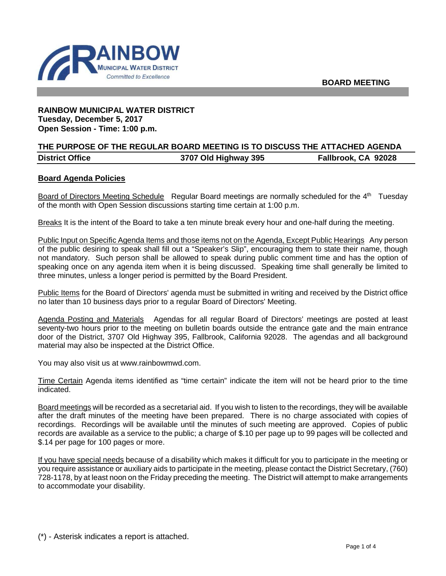

#### **RAINBOW MUNICIPAL WATER DISTRICT Tuesday, December 5, 2017 Open Session - Time: 1:00 p.m.**

## **THE PURPOSE OF THE REGULAR BOARD MEETING IS TO DISCUSS THE ATTACHED AGENDA District Office 3707 Old Highway 395 Fallbrook, CA 92028**

#### **Board Agenda Policies**

Board of Directors Meeting Schedule Regular Board meetings are normally scheduled for the 4<sup>th</sup> Tuesday of the month with Open Session discussions starting time certain at 1:00 p.m.

Breaks It is the intent of the Board to take a ten minute break every hour and one-half during the meeting.

Public Input on Specific Agenda Items and those items not on the Agenda, Except Public Hearings Any person of the public desiring to speak shall fill out a "Speaker's Slip", encouraging them to state their name, though not mandatory. Such person shall be allowed to speak during public comment time and has the option of speaking once on any agenda item when it is being discussed. Speaking time shall generally be limited to three minutes, unless a longer period is permitted by the Board President.

Public Items for the Board of Directors' agenda must be submitted in writing and received by the District office no later than 10 business days prior to a regular Board of Directors' Meeting.

Agenda Posting and Materials Agendas for all regular Board of Directors' meetings are posted at least seventy-two hours prior to the meeting on bulletin boards outside the entrance gate and the main entrance door of the District, 3707 Old Highway 395, Fallbrook, California 92028. The agendas and all background material may also be inspected at the District Office.

You may also visit us at www.rainbowmwd.com.

Time Certain Agenda items identified as "time certain" indicate the item will not be heard prior to the time indicated.

Board meetings will be recorded as a secretarial aid. If you wish to listen to the recordings, they will be available after the draft minutes of the meeting have been prepared. There is no charge associated with copies of recordings. Recordings will be available until the minutes of such meeting are approved. Copies of public records are available as a service to the public; a charge of \$.10 per page up to 99 pages will be collected and \$.14 per page for 100 pages or more.

If you have special needs because of a disability which makes it difficult for you to participate in the meeting or you require assistance or auxiliary aids to participate in the meeting, please contact the District Secretary, (760) 728-1178, by at least noon on the Friday preceding the meeting. The District will attempt to make arrangements to accommodate your disability.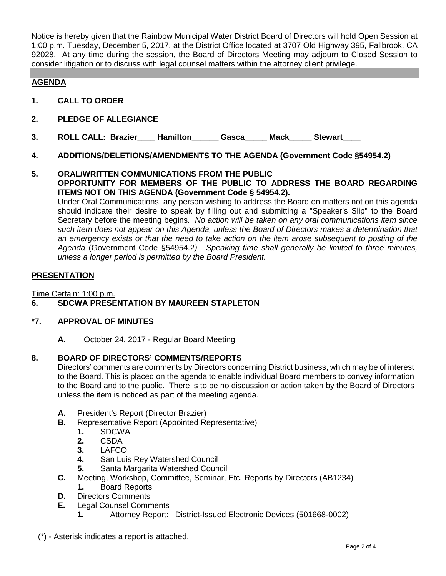Notice is hereby given that the Rainbow Municipal Water District Board of Directors will hold Open Session at 1:00 p.m. Tuesday, December 5, 2017, at the District Office located at 3707 Old Highway 395, Fallbrook, CA 92028. At any time during the session, the Board of Directors Meeting may adjourn to Closed Session to consider litigation or to discuss with legal counsel matters within the attorney client privilege.

## **AGENDA**

- **1. CALL TO ORDER**
- **2. PLEDGE OF ALLEGIANCE**
- **3. ROLL CALL: Brazier\_\_\_\_ Hamilton\_\_\_\_\_\_ Gasca\_\_\_\_\_ Mack\_\_\_\_\_ Stewart\_\_\_\_**
- **4. ADDITIONS/DELETIONS/AMENDMENTS TO THE AGENDA (Government Code §54954.2)**

#### **5. ORAL/WRITTEN COMMUNICATIONS FROM THE PUBLIC OPPORTUNITY FOR MEMBERS OF THE PUBLIC TO ADDRESS THE BOARD REGARDING ITEMS NOT ON THIS AGENDA (Government Code § 54954.2).**

Under Oral Communications, any person wishing to address the Board on matters not on this agenda should indicate their desire to speak by filling out and submitting a "Speaker's Slip" to the Board Secretary before the meeting begins. *No action will be taken on any oral communications item since such item does not appear on this Agenda, unless the Board of Directors makes a determination that an emergency exists or that the need to take action on the item arose subsequent to posting of the Agenda* (Government Code §54954.2*). Speaking time shall generally be limited to three minutes, unless a longer period is permitted by the Board President.*

## **PRESENTATION**

Time Certain: 1:00 p.m.<br>6. SDCWA PRESE

## **6. SDCWA PRESENTATION BY MAUREEN STAPLETON**

## **\*7. APPROVAL OF MINUTES**

**A.** October 24, 2017 - Regular Board Meeting

## **8. BOARD OF DIRECTORS' COMMENTS/REPORTS**

Directors' comments are comments by Directors concerning District business, which may be of interest to the Board. This is placed on the agenda to enable individual Board members to convey information to the Board and to the public. There is to be no discussion or action taken by the Board of Directors unless the item is noticed as part of the meeting agenda.

- **A.** President's Report (Director Brazier)
- **B.** Representative Report (Appointed Representative)
	- **1.** SDCWA
	- **2.** CSDA
	- **3.** LAFCO
	- **4.** San Luis Rey Watershed Council
	- **5.** Santa Margarita Watershed Council
- **C.** Meeting, Workshop, Committee, Seminar, Etc. Reports by Directors (AB1234)
- **1.** Board Reports
- **D.** Directors Comments
- **E.** Legal Counsel Comments
	- **1.** Attorney Report: District-Issued Electronic Devices (501668-0002)
- (\*) Asterisk indicates a report is attached.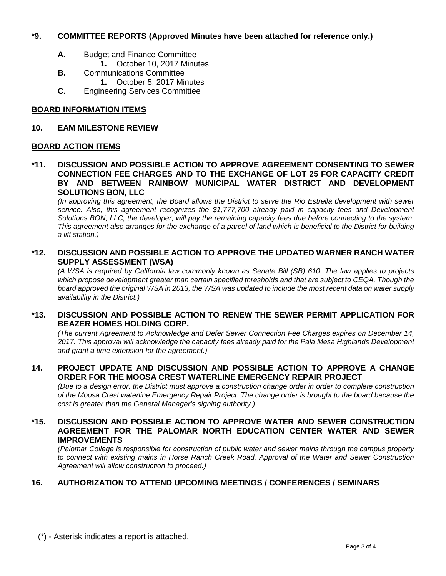#### **\*9. COMMITTEE REPORTS (Approved Minutes have been attached for reference only.)**

- **A.** Budget and Finance Committee
	- **1.** October 10, 2017 Minutes
- **B.** Communications Committee
	- **1.** October 5, 2017 Minutes
- **C.** Engineering Services Committee

### **BOARD INFORMATION ITEMS**

#### **10. EAM MILESTONE REVIEW**

#### **BOARD ACTION ITEMS**

#### **\*11. DISCUSSION AND POSSIBLE ACTION TO APPROVE AGREEMENT CONSENTING TO SEWER CONNECTION FEE CHARGES AND TO THE EXCHANGE OF LOT 25 FOR CAPACITY CREDIT BY AND BETWEEN RAINBOW MUNICIPAL WATER DISTRICT AND DEVELOPMENT SOLUTIONS BON, LLC**

*(In approving this agreement, the Board allows the District to serve the Rio Estrella development with sewer service. Also, this agreement recognizes the \$1,777,700 already paid in capacity fees and Development Solutions BON, LLC, the developer, will pay the remaining capacity fees due before connecting to the system. This agreement also arranges for the exchange of a parcel of land which is beneficial to the District for building a lift station.)*

#### **\*12. DISCUSSION AND POSSIBLE ACTION TO APPROVE THE UPDATED WARNER RANCH WATER SUPPLY ASSESSMENT (WSA)**

*(A WSA is required by California law commonly known as Senate Bill (SB) 610. The law applies to projects*  which propose development greater than certain specified thresholds and that are subject to CEQA. Though the *board approved the original WSA in 2013, the WSA was updated to include the most recent data on water supply availability in the District.)*

#### **\*13. DISCUSSION AND POSSIBLE ACTION TO RENEW THE SEWER PERMIT APPLICATION FOR BEAZER HOMES HOLDING CORP.**

*(The current Agreement to Acknowledge and Defer Sewer Connection Fee Charges expires on December 14, 2017. This approval will acknowledge the capacity fees already paid for the Pala Mesa Highlands Development and grant a time extension for the agreement.)*

#### **14. PROJECT UPDATE AND DISCUSSION AND POSSIBLE ACTION TO APPROVE A CHANGE ORDER FOR THE MOOSA CREST WATERLINE EMERGENCY REPAIR PROJECT**

*(Due to a design error, the District must approve a construction change order in order to complete construction of the Moosa Crest waterline Emergency Repair Project. The change order is brought to the board because the cost is greater than the General Manager's signing authority.)*

#### **\*15. DISCUSSION AND POSSIBLE ACTION TO APPROVE WATER AND SEWER CONSTRUCTION AGREEMENT FOR THE PALOMAR NORTH EDUCATION CENTER WATER AND SEWER IMPROVEMENTS**

*(Palomar College is responsible for construction of public water and sewer mains through the campus property to connect with existing mains in Horse Ranch Creek Road. Approval of the Water and Sewer Construction Agreement will allow construction to proceed.)*

## **16. AUTHORIZATION TO ATTEND UPCOMING MEETINGS / CONFERENCES / SEMINARS**